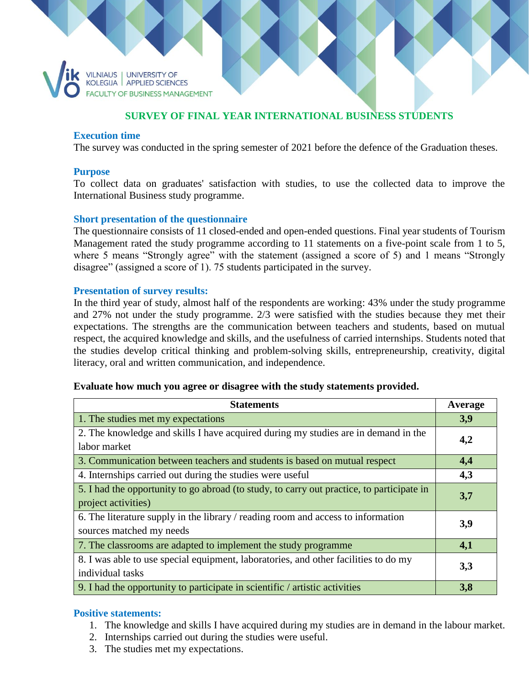

## **SURVEY OF FINAL YEAR INTERNATIONAL BUSINESS STUDENTS**

#### **Execution time**

The survey was conducted in the spring semester of 2021 before the defence of the Graduation theses.

#### **Purpose**

To collect data on graduates' satisfaction with studies, to use the collected data to improve the International Business study programme.

### **Short presentation of the questionnaire**

The questionnaire consists of 11 closed-ended and open-ended questions. Final year students of Tourism Management rated the study programme according to 11 statements on a five-point scale from 1 to 5, where 5 means "Strongly agree" with the statement (assigned a score of 5) and 1 means "Strongly disagree" (assigned a score of 1). 75 students participated in the survey.

### **Presentation of survey results:**

In the third year of study, almost half of the respondents are working: 43% under the study programme and 27% not under the study programme. 2/3 were satisfied with the studies because they met their expectations. The strengths are the communication between teachers and students, based on mutual respect, the acquired knowledge and skills, and the usefulness of carried internships. Students noted that the studies develop critical thinking and problem-solving skills, entrepreneurship, creativity, digital literacy, oral and written communication, and independence.

#### **Evaluate how much you agree or disagree with the study statements provided.**

| <b>Statements</b>                                                                         | Average |
|-------------------------------------------------------------------------------------------|---------|
| 1. The studies met my expectations                                                        | 3,9     |
| 2. The knowledge and skills I have acquired during my studies are in demand in the        | 4,2     |
| labor market                                                                              |         |
| 3. Communication between teachers and students is based on mutual respect                 | 4,4     |
| 4. Internships carried out during the studies were useful                                 | 4,3     |
| 5. I had the opportunity to go abroad (to study, to carry out practice, to participate in | 3,7     |
| project activities)                                                                       |         |
| 6. The literature supply in the library / reading room and access to information          | 3,9     |
| sources matched my needs                                                                  |         |
| 7. The classrooms are adapted to implement the study programme                            | 4,1     |
| 8. I was able to use special equipment, laboratories, and other facilities to do my       | 3,3     |
| individual tasks                                                                          |         |
| 9. I had the opportunity to participate in scientific / artistic activities               | 3,8     |

#### **Positive statements:**

- 1. The knowledge and skills I have acquired during my studies are in demand in the labour market.
- 2. Internships carried out during the studies were useful.
- 3. The studies met my expectations.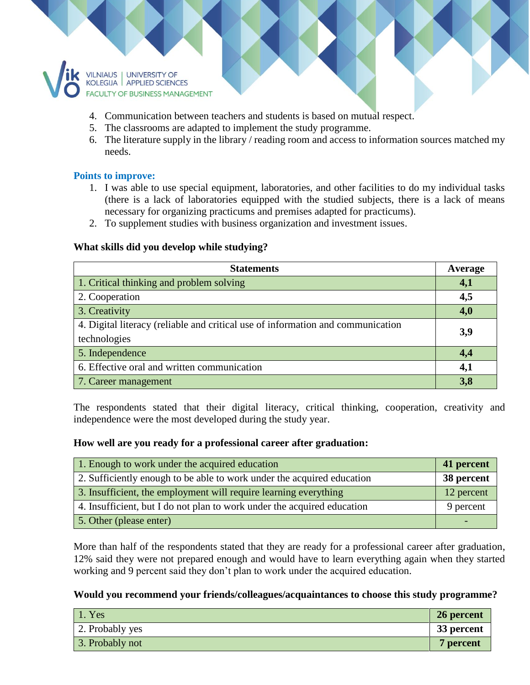

- 4. Communication between teachers and students is based on mutual respect.
- 5. The classrooms are adapted to implement the study programme.
- 6. The literature supply in the library / reading room and access to information sources matched my needs.

## **Points to improve:**

- 1. I was able to use special equipment, laboratories, and other facilities to do my individual tasks (there is a lack of laboratories equipped with the studied subjects, there is a lack of means necessary for organizing practicums and premises adapted for practicums).
- 2. To supplement studies with business organization and investment issues.

## **What skills did you develop while studying?**

| <b>Statements</b>                                                               | Average |
|---------------------------------------------------------------------------------|---------|
| 1. Critical thinking and problem solving                                        | 4,1     |
| 2. Cooperation                                                                  | 4,5     |
| 3. Creativity                                                                   | 4,0     |
| 4. Digital literacy (reliable and critical use of information and communication | 3,9     |
| technologies                                                                    |         |
| 5. Independence                                                                 | 4,4     |
| 6. Effective oral and written communication                                     | 4,1     |
| 7. Career management                                                            | 3,8     |

The respondents stated that their digital literacy, critical thinking, cooperation, creativity and independence were the most developed during the study year.

### **How well are you ready for a professional career after graduation:**

| 1. Enough to work under the acquired education                          | 41 percent |
|-------------------------------------------------------------------------|------------|
| 2. Sufficiently enough to be able to work under the acquired education  | 38 percent |
| 3. Insufficient, the employment will require learning everything        | 12 percent |
| 4. Insufficient, but I do not plan to work under the acquired education | 9 percent  |
| 5. Other (please enter)                                                 |            |

More than half of the respondents stated that they are ready for a professional career after graduation, 12% said they were not prepared enough and would have to learn everything again when they started working and 9 percent said they don't plan to work under the acquired education.

## **Would you recommend your friends/colleagues/acquaintances to choose this study programme?**

| $\vert$ 1. Yes  | 26 percent |
|-----------------|------------|
| 2. Probably yes | 33 percent |
| 3. Probably not | 7 percent  |